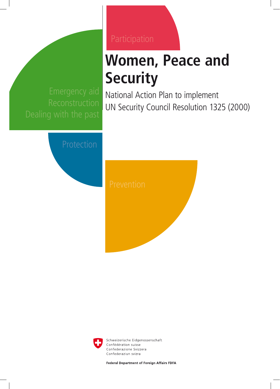# **Women, Peace and Security**

National Action Plan to implement UN Security Council Resolution 1325 (2000)





Schweizerische Eidgenossenschaft Confédération suisse Confederazione Svizzera Confederaziun svizra

Federal Department of Foreign Affairs FDFA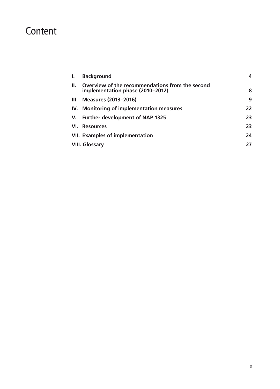### Content

| Ι.  | <b>Background</b>                                                                   | 4  |
|-----|-------------------------------------------------------------------------------------|----|
| Ш.  | Overview of the recommendations from the second<br>implementation phase (2010–2012) | 8  |
| Ш.  | <b>Measures (2013–2016)</b>                                                         | 9  |
| IV. | <b>Monitoring of implementation measures</b>                                        | 22 |
| V.  | <b>Further development of NAP 1325</b>                                              | 23 |
| VI. | <b>Resources</b>                                                                    | 23 |
|     | <b>VII. Examples of implementation</b>                                              | 24 |
|     | <b>VIII. Glossary</b>                                                               | 27 |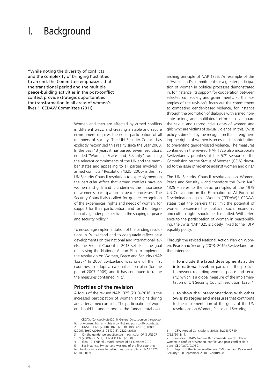### I. Background

"While noting the diversity of conflicts and the complexity of bringing hostilities to an end, the Committee emphasizes that the transitional period and the multiple peace-building activities in the post-conflict context provide strategic opportunities for transformation in all areas of women's lives."<sup>1</sup> CEDAW Committee (2011)

> Women and men are affected by armed conflicts in different ways, and creating a stable and secure environment requires the equal participation of all members of society. The UN Security Council has explicitly recognised this reality since the year 2000. In the past 13 years it has passed seven resolutions entitled "Women, Peace and Security" outlining the relevant commitments of the UN and the member states and appealing to all parties involved in armed conflicts.2 Resolution 1325 (2000) is the first UN Security Council resolution to expressly mention the particular effect that armed conflicts have on women and girls and it underlines the importance of women's participation in peace processes. The Security Council also called for greater recognition of the experiences, rights and needs of women, for support for their participation, and for the integration of a gender perspective in the shaping of peace and security policy.<sup>3</sup>

> To encourage implementation of the binding resolutions in Switzerland and to adequately reflect new developments on the national and international levels, the Federal Council in 2013 set itself the goal of revising the National Action Plan to implement the resolution on Women, Peace and Security (NAP 1325).4 In 2007 Switzerland was one of the first countries to adopt a national action plan (for the period 2007–2009) and it has continued to refine the measures contained in it.<sup>5</sup>

#### **Priorities of the revision**

A focus of the revised NAP 1325 (2013–2016) is the increased participation of women and girls during and after armed conflicts. The participation of women should be understood as the fundamental over-

(2010–2012).

arching principle of NAP 1325. An example of this is Switzerland's commitment for a greater participation of women in political processes demonstrated in, for instance, its support for cooperation between selected civil society and governments. Further examples of the revision's focus are the commitment to combating gender-based violence, for instance through the promotion of dialogue with armed nonstate actors, and multilateral efforts to safeguard the sexual and reproductive rights of women and girls who are victims of sexual violence. In this, Swiss policy is directed by the recognition that strengthening the rights of women is an essential contribution to preventing gender-based violence. The measures contained in the revised NAP 1325 also incorporate Switzerland's priorities at the 57<sup>th</sup> session of the Commission on the Status of Women (CSW) devoted to the issue of violence against women and girls.<sup>6</sup>

The UN Security Council resolutions on Women, Peace and Security – and therefore the Swiss NAP 1325 – refer to the basic principles of the 1979 UN Convention on the Elimination of All Forms of Discrimination against Women (CEDAW).7 CEDAW states that the barriers that limit the potential of women to exercise their political, social, economic and cultural rights should be dismantled. With reference to the participation of women in peacebuilding, the Swiss NAP 1325 is closely linked to the FDFA equality policy.

Through the revised National Action Plan on Women, Peace and Security (2013–2016) Switzerland further intends:

 $\rightarrow$  to include the latest developments at the international level, in particular the political framework regarding women, peace and security, which is a global measure of the implementation of UN Security Council resolution 1325; 8

 $\rightarrow$  to show the interconnections with other Swiss strategies and measures that contribute to the implementation of the goals of the UN resolutions on Women, Peace and Security;

<sup>1</sup> CEDAW Concept Note (2011), General Discussion on the protection of women's human rights in conflict and post-conflict contexts. 2 UNSCR 1325 (2000), 1820 (2008), 1888 (2009), 1889 (2009), 1960 (2010), 2106 (2013), 2122 (2013).

On the gender perspective see in particular OP 8 UNSCR 1889 (2009); OP 5, 7, 8 UNSCR 1325 (2000).

Goal 12, Federal Council decree of 31 October 2012. 5 For instance, Switzerland was one of the first countries to introduce indicators to better measure results, cf. NAP 1325

<sup>6</sup> CSW Agreed Conclusions (2013), E/2013/27-E/ CN.6/2013/11.

<sup>7</sup> See also CEDAW General Recommandation No. 30 on women in conflict prevention, conflict and post-conflict situations, CEDAW/C/GC/30.

<sup>8</sup> Report of the Secretary-General, "Women and Peace and Security", 28 September 2010, S/2010/498.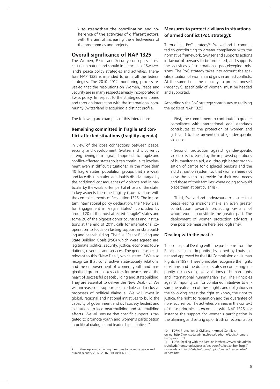$\rightarrow$  to strengthen the coordination and coherence of the activities of different actors, with the aim of increasing the effectiveness of the programmes and projects.

#### **Overall significance of NAP 1325**

The Women, Peace and Security concept is crosscutting in nature and should influence all of Switzerland's peace policy strategies and activities. Therefore NAP 1325 is intended to unite all the federal strategies. The 2010–2012 monitoring process revealed that the resolutions on Women, Peace and Security are in many respects already incorporated in Swiss policy. In respect to the strategies mentioned and through interaction with the international community Switzerland is acquiring a distinct profile.

The following are examples of this interaction:

#### **Remaining committed in fragile and conflict-affected situations (fragility agenda)**

In view of the close connections between peace, security and development, Switzerland is currently strengthening its integrated approach to fragile and conflict-affected states so it can continue its involvement even in difficult situations.<sup>9</sup> In the more than 40 fragile states, population groups that are weak and face discrimination are doubly disadvantaged by the additional consequences of violence and in particular by the weak, often partial efforts of the state. In key aspects then the fragility issue overlaps with the central elements of Resolution 1325. The important international policy declaration, the "New Deal for Engagement in Fragile States", concluded by around 20 of the most affected "fragile" states and some 20 of the biggest donor countries and institutions at the end of 2011, calls for international cooperation to focus on lasting support in statebuilding and peacebuilding. The five "Peace Building and State Building Goals (PSG) which were agreed are: legitimate politics, security, justice, economic foundations, revenues and services. The gender aspect is relevant to this "New Deal", which states: "We also recognize that constructive state-society relations, and the empowerment of women, youth and marginalized groups, as key actors for peace, are at the heart of successful peacebuilding and statebuilding. They are essential to deliver the New Deal. (…) We will increase our support for credible and inclusive processes of political dialogue. We will invest in global, regional and national initiatives to build the capacity of government and civil society leaders and institutions to lead peacebuilding and statebuilding efforts. We will ensure that specific support is targeted to promote youth and women's participation in political dialogue and leadership initiatives."

#### **Measures to protect civilians in situations of armed conflict (PoC strategy):**

Through its PoC strategy<sup>10</sup> Switzerland is committed to contributing to greater compliance with the normative framework. Switzerland supports actions in favour of persons to be protected, and supports the activities of international peacekeeping missions. The PoC strategy takes into account the specific situation of women and girls in armed conflicts. At the same time the capacity to protect oneself ("agency"), specifically of women, must be heeded and supported.

Accordingly the PoC strategy contributes to realising the goals of NAP 1325:

› First, the commitment to contribute to greater compliance with international legal standards contributes to the protection of women and girls and to the prevention of gender-specific violence.

› Second, protection against gender-specific violence is increased by the improved operations of humanitarian aid, e.g. through better organisation of camps for displaced persons and the aid distribution system, so that women need not leave the camp to provide for their own needs and those of their families where doing so would place them at particular risk.

› Third, Switzerland endeavours to ensure that peacekeeping missions make an even greater contribution towards protecting civilians of whom women constitute the greater part. The deployment of women protection advisors is one possible measure here (see logframe).

#### **Dealing with the past<sup>11</sup>:**

The concept of Dealing with the past stems from the Principles against Impunity developed by Louis Joinet and approved by the UN Commission on Human Rights in 1997. These principles recognise the rights of victims and the duties of states in combating impunity in cases of grave violations of human rights and international humanitarian law. The Principles against Impunity call for combined initiatives to ensure the realisation of these rights and obligations in the following areas: the right to know, the right to justice, the right to reparation and the guarantee of non-recurrence. The activities planned in the context of these principles interconnect with NAP 1325, for instance the support for women's participation in the planning and setting up of truth or reconciliation

<sup>9</sup> Message on continuing measures to promote peace and human security 2012–2016, BBl **2011** 6395.

<sup>10</sup> FDFA, Protection of Civilians in Armed Conflicts, online: http://www.eda.admin.ch/eda/de/home/topics/human/ hum/proci.html

<sup>11</sup> FDFA, Dealing with the Past, online:http://www.eda.admin. ch/eda/de/home/topics/peasec/peac/confre/depast.htmlhttp:// www.eda.admin.ch/eda/en/home/topics/peasec/peac/confre/ depast.html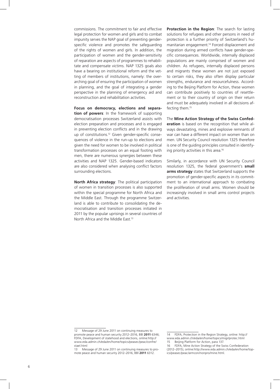commissions. The commitment to fair and effective legal protection for women and girls and to combat impunity serves the NAP goal of preventing genderspecific violence and promotes the safeguarding of the rights of women and girls. In addition, the participation of women and the gender-sensitivity of reparation are aspects of programmes to rehabilitate and compensate victims. NAP 1325 goals also have a bearing on institutional reform and the vetting of members of institutions, namely: the overarching goal of ensuring the participation of women in planning, and the goal of integrating a gender perspective in the planning of emergency aid and reconstruction and rehabilitation activities.

**Focus on democracy, elections and separation of powers**: In the framework of supporting democratisation processes Switzerland assists with election preparation and processes and is engaged in preventing election conflicts and in the drawing up of constitutions.12 Given gender-specific consequences of violence in the run-up to elections and given the need for women to be involved in political transformation processes on an equal footing with men, there are numerous synergies between these activities and NAP 1325. Gender-based indicators are also considered when analysing conflict factors surrounding elections.

**North Africa strategy**: The political participation of women in transition processes is also supported within the special programme for North Africa and the Middle East. Through the programme Switzerland is able to contribute to consolidating the democratisation and transition processes initiated in 2011 by the popular uprisings in several countries of North Africa and the Middle East.13

**Protection in the Region**: The search for lasting solutions for refugees and other persons in need of protection is a further priority of Switzerland's humanitarian engagement.14 Forced displacement and migration during armed conflicts have gender-specific consequences. Worldwide, internally displaced populations are mainly comprised of women and children. As refugees, internally displaced persons and migrants these women are not just exposed to certain risks, they also often display particular strengths, endurance and resourcefulness. According to the Beijing Platform for Action, these women can contribute positively to countries of resettlement or to their country of origin on their return and must be adequately involved in all decisions affecting them.15

The **Mine Action Strategy of the Swiss Confederation** is based on the recognition that while always devastating, mines and explosive remnants of war can have a different impact on women than on men. UN Security Council resolution 1325 therefore is one of the guiding principles consulted in identifying priority activities in this area.16

Similarly, in accordance with UN Security Council resolution 1325, the federal government's **small arms strategy** states that Switzerland supports the promotion of gender-specific aspects in its commitment to an international approach to combating the proliferation of small arms. Women should be increasingly involved in small arms control projects and activities.

<sup>12</sup> Message of 29 June 2011 on continuing measures to promote peace and human security 2012–2016, BBl **2011** 6346; FDFA, Development of statehood and elections, online:http:// www.eda.admin.ch/eda/en/home/topics/peasec/peac/confre/ stael.html

<sup>13</sup> Message of 29 June 2011 on continuing measures to promote peace and human security 2012–2016, BBl **2011** 6312.

<sup>14</sup> FDFA, Protection in the Region Strategy, online: http:// www.eda.admin.ch/eda/en/home/topics/migr/protec.html 15 Beijing Platform for Action, para 137.

<sup>16</sup> FDFA, Mine Action Strategy of the Swiss Confederation (2012–2015), online:http://www.eda.admin.ch/eda/en/home/topics/peasec/peac/armcon/nonpro/mine.html.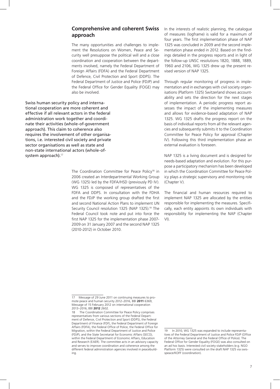#### **Comprehensive and coherent Swiss approach**

The many opportunities and challenges to implement the Resolutions on Women, Peace and Security well presuppose the political will and a close coordination and cooperation between the departments involved, namely the Federal Department of Foreign Affairs (FDFA) and the Federal Department of Defence, Civil Protection and Sport (DDPS). The Federal Department of Justice and Police (FDJP) and the Federal Office for Gender Equality (FOGE) may also be involved.

Swiss human security policy and international cooperation are more coherent and effective if all relevant actors in the federal administration work together and coordinate their activities (whole-of-government approach). This claim to coherence also requires the involvement of other organisations, i.e. interested civil society and private sector organisations as well as state and non-state international actors (whole-ofsystem approach).<sup>17</sup>

> The Coordination Committee for Peace Policy<sup>18</sup> in 2006 created an Interdepartmental Working Group (WG 1325) led by the FDFA/HSD (previously PD IV). WG 1325 is composed of representatives of the FDFA and DDPS. In consultation with the FDHA and the FDJP the working group drafted the first and second National Action Plans to implement UN Security Council resolution 1325 (NAP 1325).19 The Federal Council took note and put into force the first NAP 1325 for the implementation phase 2007- 2009 on 31 January 2007 and the second NAP 1325 (2010-2012) in October 2010.

In the interests of realistic planning, the catalogue of measures (logframe) is valid for a maximum of four years. The first implementation phase of NAP 1325 was concluded in 2009 and the second implementation phase ended in 2012. Based on the findings detailed in the progress reports and in light of the follow-up UNSC resolutions 1820, 1888, 1889, 1960 and 2106, WG 1325 drew up the present revised version of NAP 1325.

Through regular monitoring of progress in implementation and in exchanges with civil society organisations (Platform 1325) Switzerland shows accountability and sets the direction for the next stages of implementation. A periodic progress report assesses the impact of the implementing measures and allows for evidence-based adaptation of NAP 1325. WG 1325 drafts the progress report on the basis of individual reports from all the relevant agencies and subsequently submits it to the Coordination Committee for Peace Policy for approval (Chapter IV). Following this third implementation phase an external evaluation is foreseen.

NAP 1325 is a living document and is designed for needs-based adaptation and evolution. For this purpose a participatory mechanism has been developed in which the Coordination Committee for Peace Policy plays a strategic supervisory and monitoring role (Chapter V).

The financial and human resources required to implement NAP 1325 are allocated by the entities responsible for implementing the measures. Specifically, each entity appoints its own individuals with responsibility for implementing the NAP (Chapter VI).

<sup>17</sup> Message of 29 June 2011 on continuing measures to promote peace and human security 2012–2016, BBl **2011** 6369, Message of 15 February 2012 on international cooperation 2013–2016, BBl **2012** 2602.

<sup>18</sup> The Coordination Committee for Peace Policy comprises representatives from various sections of the Federal Department of Defence, Civil Protection and Sport (DDPS), the Federal Department of Finance (FDF), the Federal Department of Foreign Affairs (FDFA), the Federal Office of Police, the Federal Office for Migration, within the Federal Department of Justice and Police (FDJP), and the State Secretariat for Economic Affairs (SECO), within the Federal Department of Economic Affairs, Education and Research (EAER). The committee acts in an advisory capacity and serves to improve coordination and coherence among the different federal administration agencies involved in peacebuilding.

<sup>19</sup> In 2010, WG 1325 was expanded to include representatives of the Federal Department of Justice and Police FDJP (Office of the Attorney General and the Federal Office of Police). The Federal Office for Gender Equality (FOGE) was also consulted on an ad hoc basis. Interested civil society stakeholders (e.g. NGO Platform 1325) were consulted on the draft NAP 1325 via swisspeace/KOFF (coordination).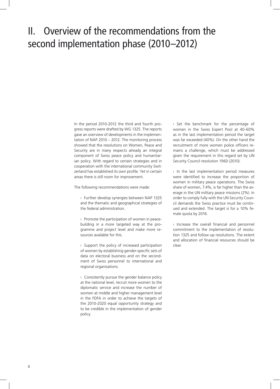### II. Overview of the recommendations from the second implementation phase (2010–2012)

In the period 2010-2012 the third and fourth progress reports were drafted by WG 1325. The reports gave an overview of developments in the implementation of NAP 2010 – 2012. The monitoring process showed that the resolutions on Women, Peace and Security are in many respects already an integral component of Swiss peace policy and humanitarian policy. With regard to certain strategies and in cooperation with the international community Switzerland has established its own profile. Yet in certain areas there is still room for improvement.

The following recommendations were made:

› Further develop synergies between NAP 1325 and the thematic and geographical strategies of the federal administration.

› Promote the participation of women in peacebuilding in a more targeted way at the programme and project level and make more resources available for this.

› Support the policy of increased participation of women by establishing gender-specific sets of data on electoral business and on the secondment of Swiss personnel to international and regional organisations.

 $\rightarrow$  Consistently pursue the gender balance policy at the national level, recruit more women to the diplomatic service and increase the number of women at middle and higher management level in the FDFA in order to achieve the targets of the 2010-2020 equal opportunity strategy and to be credible in the implementation of gender policy.

› Set the benchmark for the percentage of women in the Swiss Expert Pool at 40-60% as in the last implementation period the target was far exceeded (40%). On the other hand the recruitment of more women police officers remains a challenge, which must be addressed given the requirement in this regard set by UN Security Council resolution 1960 (2010).

› In the last implementation period measures were identified to increase the proportion of women in military peace operations. The Swiss share of women, 7.4%, is far higher than the average in the UN military peace missions (2%). In order to comply fully with the UN Security Council demands the Swiss practice must be continued and extended. The target is for a 10% female quota by 2016.

› Increase the overall financial and personnel commitment to the implementation of resolution 1325 and follow-up resolutions. The extent and allocation of financial resources should be clear.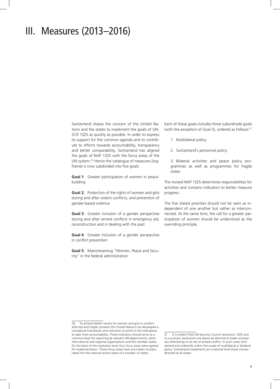### III. Measures (2013–2016)

Switzerland shares the concern of the United Nations and the states to implement the goals of UN-SCR 1325 as quickly as possible. In order to express its support for the common agenda and to contribute to efforts towards accountability, transparency and better comparability, Switzerland has aligned the goals of NAP 1325 with the focus areas of the UN system.20 Hence the catalogue of measures (logframe) is now subdivided into five goals:

**Goal 1**: Greater participation of women in peacebuilding

**Goal 2**: Protection of the rights of women and girls during and after violent conflicts, and prevention of gender-based violence

**Goal 3**: Greater inclusion of a gender perspective during and after armed conflicts in emergency aid, reconstruction and in dealing with the past

**Goal 4**: Greater inclusion of a gender perspective in conflict prevention

**Goal 5**: Mainstreaming "Women, Peace and Security" in the federal administration

Each of these goals includes three subordinate goals (with the exception of Goal 5), ordered as follows:<sup>21</sup>

- 1. Multilateral policy
- 2. Switzerland's personnel policy
- 3. Bilateral activities and peace policy programmes as well as programmes for fragile states

The revised NAP 1325 determines responsibilities for activities and contains indicators to better measure progress.

The five stated priorities should not be seen as independent of one another but rather as interconnected. At the same time, the call for a greater participation of women should be understood as the overriding principle.

<sup>20</sup> To achieve better results for women and girls in conflictaffected and fragile contexts the United Nations has developed a conceptual framework and indicators to point to the willingness to take more accountability. These indicators should serve as a common base for reporting by relevant UN departments, other international and regional organisations and the member states. On the basis of the resolution texts four focus areas were agreed for implementation. These focus areas have since been incorporated into the national action plans of a number of states.

<sup>21</sup> It is evident that UN Security Council resolution 1325 and its successor resolutions are above all directed at states and parties affected by or at risk of armed conflict. In such cases Switzerland acts indirectly within the scope of multilateral or bilateral policy. Switzerland implements at a national level those clauses directed at all states.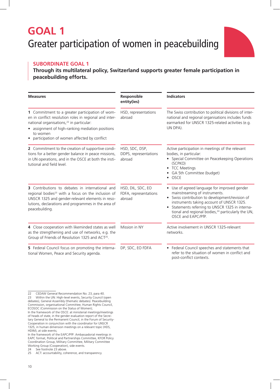### **GOAL 1** Greater participation of women in peacebuilding



#### **Subordinate Goal 1**

#### **Through its multilateral policy, Switzerland supports greater female participation in peacebuilding efforts.**

| <b>Measures</b>                                                                                                                                                                                                                                                                | Responsible<br>entity(ies)                           | <b>Indicators</b>                                                                                                                                                                                                                                                                                                                    |
|--------------------------------------------------------------------------------------------------------------------------------------------------------------------------------------------------------------------------------------------------------------------------------|------------------------------------------------------|--------------------------------------------------------------------------------------------------------------------------------------------------------------------------------------------------------------------------------------------------------------------------------------------------------------------------------------|
| 1 Commitment to a greater participation of wom-<br>en in conflict resolution roles in regional and inter-<br>national organisations, <sup>22</sup> in particular:<br>assignment of high-ranking mediation positions<br>to women<br>participation of women affected by conflict | HSD, representations<br>abroad                       | The Swiss contribution to political divisions of inter-<br>national and regional organisations includes funds<br>earmarked for UNSCR 1325-related activities (e.g.<br>UN DPA).                                                                                                                                                       |
| 2 Commitment to the creation of supportive condi-<br>tions for a better gender balance in peace missions,<br>in UN operations, and in the OSCE at both the insti-<br>tutional and field level.                                                                                 | HSD, SDC, DSP,<br>DDPS, representations<br>abroad    | Active participation in meetings of the relevant<br>bodies, in particular:<br>• Special Committee on Peacekeeping Operations<br>(SCPKO)<br>• TCC Meetings<br>GA 5th Committee (budget)<br>• OSCE                                                                                                                                     |
| 3 Contributions to debates in international and<br>regional bodies <sup>23</sup> with a focus on the inclusion of<br>UNSCR 1325 and gender-relevant elements in reso-<br>lutions, declarations and programmes in the area of<br>peacebuilding.                                 | HSD, DIL, SDC, EO<br>FDFA, representations<br>abroad | • Use of agreed language for improved gender<br>mainstreaming of instruments.<br>• Swiss contribution to development/revision of<br>instruments taking account of UNSCR 1325.<br>Statements referring to UNSCR 1325 in interna-<br>$\bullet$<br>tional and regional bodies, <sup>24</sup> particularly the UN,<br>OSCE and EAPC/PfP. |
| 4 Close cooperation with likeminded states as well<br>as the strengthening and use of networks, e.g. the<br>Group of Friends of Resolution 1325 and ACT <sup>25</sup> .                                                                                                        | Mission in NY                                        | Active involvement in UNSCR 1325-relevant<br>networks.                                                                                                                                                                                                                                                                               |
| 5 Federal Council focus on promoting the interna-<br>tional Women, Peace and Security agenda.                                                                                                                                                                                  | DP, SDC, EO FDFA                                     | • Federal Council speeches and statements that<br>refer to the situation of women in conflict and<br>post-conflict contexts.                                                                                                                                                                                                         |

<sup>22</sup> CEDAW General Recommendation No. 23, para 40. 23 Within the UN: High-level events, Security Council (open debates), General Assembly (thematic debates). Peacebuilding Commission, organisational Committee, Human Rights Council, ECOSOC (Commission on the Status of Women);

In the framework of the OSCE: at ministerial meetings/meetings of heads of state, in the gender evaluation report of the Secretary General to the Permanent Council, in the Forum of Security-Cooperation in conjunction with the coordinator for UNSCR 1325, in human dimension meetings on a relevant topic (HDS, HDIM), at side events;

In the framework of the EAPC/PfP: Ambassadorial meetings in EAPC format, Political and Partnerships Committee, KFOR Policy Coordination Group, Military Committee, Military Committee Working Group (Cooperation), side events.

<sup>24</sup> See footnote 23 above.

<sup>25</sup> ACT: accountability, coherence, and transparency.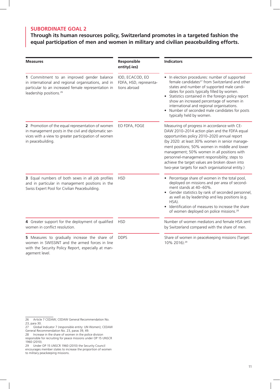### **Through its human resources policy, Switzerland promotes in a targeted fashion the equal participation of men and women in military and civilian peacebuilding efforts.**

| <b>Measures</b>                                                                                                                                                                                 | Responsible<br>entity(-ies)                               | <b>Indicators</b>                                                                                                                                                                                                                                                                                                                                                                                                                                      |
|-------------------------------------------------------------------------------------------------------------------------------------------------------------------------------------------------|-----------------------------------------------------------|--------------------------------------------------------------------------------------------------------------------------------------------------------------------------------------------------------------------------------------------------------------------------------------------------------------------------------------------------------------------------------------------------------------------------------------------------------|
| 1 Commitment to an improved gender balance<br>in international and regional organisations, and in<br>particular to an increased female representation in<br>leadership positions. <sup>26</sup> | IOD, ECACOD, EO<br>FDFA, HSD, representa-<br>tions abroad | In election procedures: number of supported<br>female candidates <sup>27</sup> from Switzerland and other<br>states and number of supported male candi-<br>dates for posts typically filled by women.<br>Statistics contained in the foreign policy report<br>show an increased percentage of women in<br>international and regional organisations.<br>Number of seconded male candidates for posts<br>typically held by women.                        |
| 2 Promotion of the equal representation of women<br>in management posts in the civil and diplomatic ser-<br>vices with a view to greater participation of women<br>in peacebuilding.            | EO FDFA, FOGE                                             | Measuring of progress in accordance with CE-<br>DAW 2010-2014 action plan and the FDFA equal<br>opportunities policy 2010-2020 annual report<br>(by 2020: at least 30% women in senior manage-<br>ment positions; 50% women in middle and lower<br>management; 50% women in all positions with<br>personnel-management responsibility; steps to<br>achieve the target values are broken down into<br>two-year targets for each organisational entity.) |
| 3 Equal numbers of both sexes in all job profiles<br>and in particular in management positions in the<br>Swiss Expert Pool for Civilian Peacebuilding.                                          | <b>HSD</b>                                                | • Percentage share of women in the total pool,<br>deployed on missions and per area of second-<br>ment stands at 40-60%.<br>Gender statistics by rank of seconded personnel,<br>as well as by leadership and key positions (e.g.<br>HSA).<br>Identification of measures to increase the share<br>of women deployed on police missions. <sup>28</sup>                                                                                                   |
| 4 Greater support for the deployment of qualified<br>women in conflict resolution.                                                                                                              | <b>HSD</b>                                                | Number of women mediators and female HSA sent<br>by Switzerland compared with the share of men.                                                                                                                                                                                                                                                                                                                                                        |
| 5 Measures to gradually increase the share of<br>women in SWISSINT and the armed forces in line<br>with the Security Policy Report, especially at man-                                          | <b>DDPS</b>                                               | Share of women in peacekeeping missions (Target:<br>10% 2016). <sup>29</sup>                                                                                                                                                                                                                                                                                                                                                                           |

agement level.

<sup>26</sup> Article 7 CEDAW; CEDAW General Recommendation No. 23, para 30.

<sup>27</sup> Global Indicator 7 (responsible entity: UN Women); CEDAW General Recommendation No. 23, paras 39, 49.

<sup>28</sup> Increase in the share of women in the police division responsible for recruiting for peace missions under OP 15 UNSCR

<sup>1960 (2010).</sup> 29 Under OP 15 UNSCR 1960 (2010) the Security Council

encourages member states to increase the proportion of women to military peackeeping missions.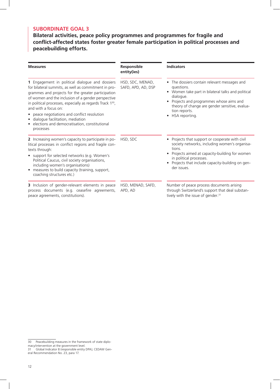**Bilateral activities, peace policy programmes and programmes for fragile and conflict-affected states foster greater female participation in political processes and peacebuilding efforts.**

| <b>Measures</b>                                                                                                                                                                                                                                                                                                                                                                                                                                                                   | Responsible<br>entity(ies)             | <b>Indicators</b>                                                                                                                                                                                                                                            |  |
|-----------------------------------------------------------------------------------------------------------------------------------------------------------------------------------------------------------------------------------------------------------------------------------------------------------------------------------------------------------------------------------------------------------------------------------------------------------------------------------|----------------------------------------|--------------------------------------------------------------------------------------------------------------------------------------------------------------------------------------------------------------------------------------------------------------|--|
| 1 Engagement in political dialogue and dossiers<br>for bilateral summits, as well as commitment in pro-<br>grammes and projects for the greater participation<br>of women and the inclusion of a gender perspective<br>in political processes, especially as regards Track 1 <sup>30</sup> ,<br>and with a focus on:<br>peace negotiations and conflict resolution<br>$\bullet$<br>dialogue facilitation, mediation<br>elections and democratisation, constitutional<br>processes | HSD, SDC, MENAD,<br>SAFD, APD, AD, DSP | • The dossiers contain relevant messages and<br>questions.<br>• Women take part in bilateral talks and political<br>dialogue.<br>Projects and programmes whose aims and<br>theory of change are gender sensitive, evalua-<br>tion reports.<br>HSA reporting. |  |
| 2 Increasing women's capacity to participate in po-<br>litical processes in conflict regions and fragile con-<br>texts through:<br>support for selected networks (e.g. Women's<br>Political Caucus, civil society organisations,<br>including women's organisations)<br>measures to build capacity (training, support,<br>coaching structures etc.)                                                                                                                               | HSD, SDC                               | Projects that support or cooperate with civil<br>society networks, including women's organisa-<br>tions.<br>Projects aimed at capacity-building for women<br>in political processes.<br>Projects that include capacity-building on gen-<br>der issues.       |  |
| 3 Inclusion of gender-relevant elements in peace<br>process documents (e.g. ceasefire agreements,<br>peace agreements, constitutions).                                                                                                                                                                                                                                                                                                                                            | HSD, MENAD, SAFD,<br>APD, AD           | Number of peace process documents arising<br>through Switzerland's support that deal substan-<br>tively with the issue of gender. <sup>31</sup>                                                                                                              |  |

<sup>30</sup> Peacebuilding measures in the framework of state diplo-

macy/intervention at the government level.

<sup>31</sup> Global Indicator 8 (responsible entity DPA); CEDAW General Recommendation No. 23, para 17.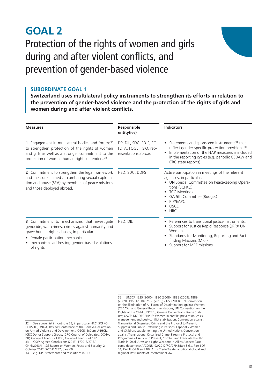### **GOAL 2** Protection of the rights of women and girls during and after violent conflicts, and prevention of gender-based violence



#### **Subordinate Goal 1**

**Switzerland uses multilateral policy instruments to strengthen its efforts in relation to the prevention of gender-based violence and the protection of the rights of girls and women during and after violent conflicts.**

| <b>Measures</b>                                                                                                                                                                                                                                  | <b>Responsible</b><br>entity(ies)                                       | <b>Indicators</b>                                                                                                                                                                                                                                         |
|--------------------------------------------------------------------------------------------------------------------------------------------------------------------------------------------------------------------------------------------------|-------------------------------------------------------------------------|-----------------------------------------------------------------------------------------------------------------------------------------------------------------------------------------------------------------------------------------------------------|
| 1 Engagement in multilateral bodies and forums <sup>32</sup><br>to strengthen protection of the rights of women<br>and girls as well as a stronger commitment to the<br>protection of women human rights defenders. <sup>33</sup>                | DP, DIL, SDC, FDJP, EO<br>FDFA, FOGE, FSIO, rep-<br>resentations abroad | Statements and sponsored instruments <sup>34</sup> that<br>٠<br>reflect gender-specific protection provisions. <sup>35</sup><br>Implementation of the NAP measures is included<br>in the reporting cycles (e.g. periodic CEDAW and<br>CRC state reports). |
| 2 Commitment to strengthen the legal framework<br>and measures aimed at combating sexual exploita-<br>tion and abuse (SEA) by members of peace missions<br>and those deployed abroad.                                                            | HSD, SDC, DDPS                                                          | Active participation in meetings of the relevant<br>agencies, in particular:<br>UN Special Committee on Peacekeeping Opera-<br>tions (SCPKO)<br><b>TCC Meetings</b><br>GA 5th Committee (Budget)<br>PfP/EAPC<br>OSCE<br><b>HRC</b>                        |
| 3 Commitment to mechanisms that investigate<br>genocide, war crimes, crimes against humanity and<br>grave human rights abuses, in particular:<br>• female participation mechanisms<br>mechanisms addressing gender-based violations<br>of rights | HSD, DIL                                                                | References to transitional justice instruments.<br>٠<br>Support for Justice Rapid Response (JRR)/ UN<br>Women<br>Standards for Monitoring, Reporting and Fact-<br>finding Missions (MRF).<br>Support for MRF missions.                                    |

<sup>32</sup> See above, list in footnote 23, in particular HRC, SCPKO, ECOSOC, UNGA, Review Conference of the Geneva Declaration on Armed Violence and Development, OSCE, ExCom UNHCR, ICRC Donor Support Group, ICRC Council of Delegates, OCHA, PfP, Group of Friends of PoC, Group of Friends of 1325. 33 CSW Agreed Conclusions (2013), E/2013/27-E/ CN.6/2013/11; SG Report on Women, Peace and Security, 2 October 2012, S/2012/732, para 69. 34 e.g. UPR statements and resolutions in HRC.

<sup>35</sup> UNSCR 1325 (2000); 1820 (2008); 1888 (2009); 1889 (2009); 1960 (2010); 2106 (2013); 2122 (2013); UN Convention on the Elimination of All Forms of Discrimination against Women (CEDAW) and General Recommendations; UN Convention on the Rights of the Child (UNCRC); Geneva Conventions; Rome Statute; OSCE: MC.DEC/14/05: Women in conflict prevention, crisis management and post-conflict stabilisation; Convention against Transnational Organised Crime and the Protocol to Prevent, Suppress and Punish Trafficking in Persons, Especially Women and Children, supplementing the United Nations Convention against Transnational Organised Crime; Firearms Protocol and Programme of Action to Prevent, Combat and Eradicate the Illicit Trade in Small Arms and Light Weapons in All Its Aspects (Outcome document) A/CONF.192/2012/RC/CRP.3/Rev.3 (i.e. Part I OP 14, Part II, OP 9 and 10); Arms Trade Treaty; additional global and regional instruments of international law.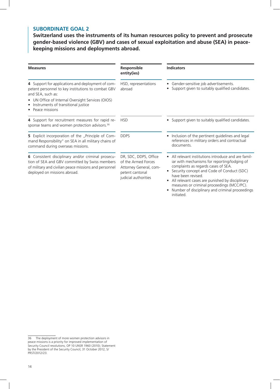**Switzerland uses the instruments of its human resources policy to prevent and prosecute gender-based violence (GBV) and cases of sexual exploitation and abuse (SEA) in peacekeeping missions and deployments abroad.**

| <b>Measures</b>                                                                                                                                                                               | Responsible<br>entity(ies)                                                                                        | <b>Indicators</b>                                                                                                                                                                                                                                                                                                                                                                |
|-----------------------------------------------------------------------------------------------------------------------------------------------------------------------------------------------|-------------------------------------------------------------------------------------------------------------------|----------------------------------------------------------------------------------------------------------------------------------------------------------------------------------------------------------------------------------------------------------------------------------------------------------------------------------------------------------------------------------|
| 4 Support for applications and deployment of com-<br>petent personnel to key institutions to combat GBV<br>and SEA, such as:                                                                  | HSD, representations<br>abroad                                                                                    | • Gender-sensitive job advertisements.<br>Support given to suitably qualified candidates.                                                                                                                                                                                                                                                                                        |
| UN Office of Internal Oversight Services (OIOS)<br>$\bullet$<br>Instruments of transitional justice<br>٠<br>Peace missions                                                                    |                                                                                                                   |                                                                                                                                                                                                                                                                                                                                                                                  |
| 4 Support for recruitment measures for rapid re-<br>sponse teams and women protection advisors. <sup>36</sup>                                                                                 | <b>HSD</b>                                                                                                        | Support given to suitably qualified candidates.                                                                                                                                                                                                                                                                                                                                  |
| 5 Explicit incorporation of the "Principle of Com-<br>mand Responsibility" on SEA in all military chains of<br>command during overseas missions.                                              | <b>DDPS</b>                                                                                                       | • Inclusion of the pertinent guidelines and legal<br>references in military orders and contractual<br>documents.                                                                                                                                                                                                                                                                 |
| 6 Consistent disciplinary and/or criminal prosecu-<br>tion of SEA and GBV committed by Swiss members<br>of military and civilian peace missions and personnel<br>deployed on missions abroad. | DR, SDC, DDPS, Office<br>of the Armed Forces<br>Attorney General, com-<br>petent cantonal<br>judicial authorities | • All relevant institutions introduce and are famil-<br>iar with mechanisms for reporting/lodging of<br>complaints as regards cases of SEA.<br>Security concept and Code of Conduct (SDC)<br>have been revised<br>All relevant cases are punished by disciplinary<br>measures or criminal proceedings (MCC/PC).<br>Number of disciplinary and criminal proceedings<br>initiated. |

<sup>36</sup> The deployment of more women protection advisors in peace missions is a priority for improved implementation of Security Council resolutions, OP 10 UNSR 1960 (2010); Statement by the President of the Security Council, 31 October 2012, S/ PRST/2012/23.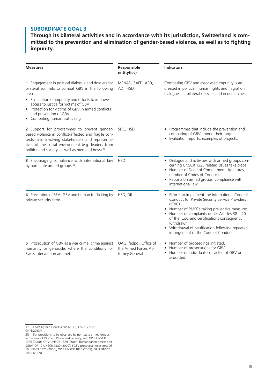**Through its bilateral activities and in accordance with its jurisdiction, Switzerland is committed to the prevention and elimination of gender-based violence, as well as to fighting impunity.**

| <b>Measures</b>                                                                                                                                                                                                                                                                                                                        | Responsible<br>entity(ies)                                       | <b>Indicators</b>                                                                                                                                                                                                                                                                                                                                                |
|----------------------------------------------------------------------------------------------------------------------------------------------------------------------------------------------------------------------------------------------------------------------------------------------------------------------------------------|------------------------------------------------------------------|------------------------------------------------------------------------------------------------------------------------------------------------------------------------------------------------------------------------------------------------------------------------------------------------------------------------------------------------------------------|
| 1 Engagement in political dialogue and dossiers for<br>bilateral summits to combat GBV in the following<br>areas:<br>Elimination of impunity and efforts to improve<br>access to justice for victims of GBV<br>Protection for victims of GBV in armed conflicts<br>$\bullet$<br>and prevention of GBV<br>• Combating human trafficking | MENAD, SAFD, APD,<br>AD, HSD                                     | Combating GBV and associated impunity is ad-<br>dressed in political, human rights and migration<br>dialogues, in bilateral dossiers and in demarches.                                                                                                                                                                                                           |
| 2 Support for programmes to prevent gender-<br>based violence in conflict-affected and fragile con-<br>texts, also involving stakeholders and representa-<br>tives of the social environment (e.g. leaders from<br>politics and society, as well as men and boys). <sup>37</sup>                                                       | SDC, HSD                                                         | Programmes that include the prevention and<br>combating of GBV among their targets.<br>Evaluation reports, examples of projects.                                                                                                                                                                                                                                 |
| 3 Encouraging compliance with international law<br>by non-state armed groups. <sup>38</sup>                                                                                                                                                                                                                                            | <b>HSD</b>                                                       | Dialogue and activities with armed groups con-<br>$\bullet$<br>cerning UNSCR 1325 related issues take place.<br>Number of Deed of Commitment signatures,<br>number of Codes of Conduct.<br>Reports on armed groups' compliance with<br>international law.                                                                                                        |
| 4 Prevention of SEA, GBV and human trafficking by<br>private security firms.                                                                                                                                                                                                                                                           | HSD, DIL                                                         | Efforts to implement the International Code of<br>Conduct for Private Security Service Providers<br>(ICoC).<br>Number of PMSCs taking preventive measures.<br>Number of complaints under Articles 38 - 40<br>of the ICoC and certifications consequently<br>withdrawn.<br>Withdrawal of certification following repeated<br>infringement of the Code of Conduct. |
| 5 Prosecution of GBV as a war crime, crime against<br>humanity or genocide, where the conditions for<br>Swiss intervention are met.                                                                                                                                                                                                    | OAG, fedpol, Office of<br>the Armed Forces At-<br>torney General | Number of proceedings initiated.<br>Number of prosecutions for GBV.<br>Number of individuals convicted of GBV or<br>acquitted.                                                                                                                                                                                                                                   |

<sup>37</sup> CSW Agreed Conclusions (2013), E/2013/27-E/ CN.6/2013/11.

<sup>38</sup> For provisions to be observed by non-state armed groups in the area of Women, Peace and Security, see: OP 9 UNSCR 1325 (2000), OP 2 UNSCR 1889 (2009); humanitarian access and SGBV: OP 12 UNSCR 1889 (2009); SGBV protective measures: OP 10 UNSCR 1325 (2000), OP 3 UNSCR 1820 (2008), OP 3 UNSCR 1889 (2009).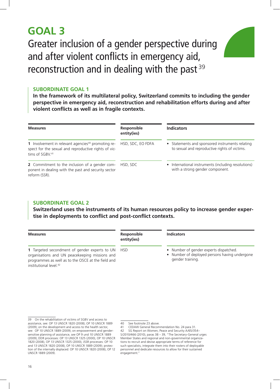### **GOAL 3**

Greater inclusion of a gender perspective during and after violent conflicts in emergency aid, reconstruction and in dealing with the past<sup>39</sup>



#### **Subordinate Goal 1**

**In the framework of its multilateral policy, Switzerland commits to including the gender perspective in emergency aid, reconstruction and rehabilitation efforts during and after violent conflicts as well as in fragile contexts.**

| <b>Measures</b>                                                                                                                                       | <b>Responsible</b><br>entity(ies) | <b>Indicators</b>                                                                                |
|-------------------------------------------------------------------------------------------------------------------------------------------------------|-----------------------------------|--------------------------------------------------------------------------------------------------|
| 1 Involvement in relevant agencies <sup>40</sup> promoting re-<br>spect for the sexual and reproductive rights of vic-<br>tims of SGBV. <sup>41</sup> | HSD, SDC, EO FDFA                 | • Statements and sponsored instruments relating<br>to sexual and reproductive rights of victims. |
| 2 Commitment to the inclusion of a gender com-<br>ponent in dealing with the past and security sector<br>reform (SSR).                                | HSD, SDC                          | • International instruments (including resolutions)<br>with a strong gender component.           |

#### **Subordinate Goal 2**

**Switzerland uses the instruments of its human resources policy to increase gender expertise in deployments to conflict and post-conflict contexts.**

| <b>Measures</b>                                                                                                                                                                                 | Responsible<br>entity(ies) | Indicators                                                                                                  |
|-------------------------------------------------------------------------------------------------------------------------------------------------------------------------------------------------|----------------------------|-------------------------------------------------------------------------------------------------------------|
| 1 Targeted secondment of gender experts to UN HSD<br>organisations and UN peacekeeping missions and<br>programmes as well as to the OSCE at the field and<br>institutional level. <sup>42</sup> |                            | • Number of gender experts dispatched.<br>• Number of deployed persons having undergone<br>gender training. |

<sup>39</sup> On the rehabilitation of victims of SGBV and access to assistance, see: OP 13 UNSCR 1820 (2008); OP 10 UNSCR 1889 (2009); on the development and access to the health sector, see: OP 10 UNSCR 1889 (2009); on empowerment and gendersensitive planning of assistance, see OP 9 und 10 UNSCR 1889 (2009); DDR processes: OP 13 UNSCR 1325 (2000), OP 10 UNSCR 1820 (2008), OP 13 UNSCR 1325 (2000), JSSR processes: OP 10 and 13 UNSCR 1820 (2008), OP 10 UNSCR 1889 (2009); protection of the internally displaced: OP 10 UNSCR 1820 (2008), OP 12 UNSCR 1889 (2009).

<sup>40</sup> See footnote 23 above.

<sup>41</sup> CEDAW General Recommendation No. 24 para 31. 42 SG Report on Women, Peace and Security A/65/354– S/2010/466 (2010), paras 38 – 39, "The Secretary-General urges Member States and regional and non-governmental organizations to recruit and devise appropriate terms of reference for such specialists, integrate them into their rosters of deployable personnel and dedicate resources to allow for their sustained engagement.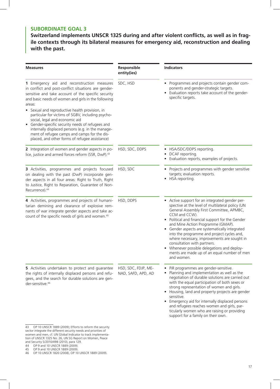**Switzerland implements UNSCR 1325 during and after violent conflicts, as well as in fragile contexts through its bilateral measures for emergency aid, reconstruction and dealing with the past.**

| <b>Measures</b>                                                                                                                                                                                                                                                                              | Responsible<br>entity(ies)                | <b>Indicators</b>                                                                                                                                                                                                                                                                                                                                                                                                                                                                                                                                  |
|----------------------------------------------------------------------------------------------------------------------------------------------------------------------------------------------------------------------------------------------------------------------------------------------|-------------------------------------------|----------------------------------------------------------------------------------------------------------------------------------------------------------------------------------------------------------------------------------------------------------------------------------------------------------------------------------------------------------------------------------------------------------------------------------------------------------------------------------------------------------------------------------------------------|
| 1 Emergency aid and reconstruction measures<br>in conflict and post-conflict situations are gender-<br>sensitive and take account of the specific security<br>and basic needs of women and girls in the following<br>areas:<br>• Sexual and reproductive health provision, in                | SDC, HSD                                  | Programmes and projects contain gender com-<br>ponents and gender-strategic targets.<br>• Evaluation reports take account of the gender-<br>specific targets.                                                                                                                                                                                                                                                                                                                                                                                      |
| particular for victims of SGBV, including psycho-<br>social, legal and economic aid<br>Gender-specific security needs of refugees and<br>internally displaced persons (e.g. in the manage-<br>ment of refugee camps and camps for the dis-<br>placed, and other forms of refugee assistance) |                                           |                                                                                                                                                                                                                                                                                                                                                                                                                                                                                                                                                    |
| 2 Integration of women and gender aspects in po-<br>lice, justice and armed forces reform (SSR, DwP). <sup>43</sup>                                                                                                                                                                          | HSD, SDC, DDPS                            | • HSA/SDC/DDPS reporting.<br>DCAF reporting.<br>Evaluation reports, examples of projects.                                                                                                                                                                                                                                                                                                                                                                                                                                                          |
| 3 Activities, programmes and projects focused<br>on dealing with the past (DwP) incorporate gen-<br>der aspects in all four areas: Right to Truth, Right<br>to Justice, Right to Reparation, Guarantee of Non-<br>Recurrence). <sup>44</sup>                                                 | HSD, SDC                                  | • Projects and programmes with gender sensitive<br>targets; evaluation reports.<br>• HSA reporting.                                                                                                                                                                                                                                                                                                                                                                                                                                                |
| 4 Activities, programmes and projects of humani-<br>tarian demining and clearance of explosive rem-<br>nants of war integrate gender aspects and take ac-<br>count of the specific needs of girls and women. <sup>45</sup>                                                                   | HSD, DDPS                                 | • Active support for an integrated gender per-<br>spective at the level of multilateral policy (UN<br>General Assembly First Committee, APMBC,<br>CCM and CCW).<br>• Political and financial support for the Gender<br>and Mine Action Programme (GMAP).<br>• Gender aspects are systematically integrated<br>into the programme and project cycles and,<br>where necessary, improvements are sought in<br>consultation with partners.<br>• Whenever possible delegations and deploy-<br>ments are made up of an equal number of men<br>and women. |
| 5 Activities undertaken to protect and guarantee<br>the rights of internally displaced persons and refu-<br>gees, and the search for durable solutions are gen-<br>der-sensitive. <sup>46</sup>                                                                                              | HSD, SDC, FDJP, ME-<br>NAD, SAFD, APD, AD | PiR programmes are gender-sensitive.<br>Planning and implementation as well as the<br>negotiation of durable solutions are carried out<br>with the equal participation of both sexes or<br>strong representation of women and girls.<br>Housing, land and property projects are gender<br>sensitive.<br>Emergency aid for internally displaced persons<br>and refugees reaches women and girls, par-<br>ticularly women who are raising or providing<br>support for a family on their own.                                                         |

<sup>43</sup> OP 10 UNSCR 1889 (2009); Efforts to reform the security sector integrate the different security needs and priorities of women and men, cf. UN Global Indicator to track implementation of UNSCR 1325 No. 26, UN SG Report on Women, Peace and Security S/2010/498 (2010), para 129.

<sup>44</sup> OP 9 and 10 UNSCR 1889 (2009).

<sup>45</sup> OP 9 and 10 UNSCR 1889 (2009).

<sup>46</sup> OP 10 UNSCR 1820 (2008), OP 10 UNSCR 1889 (2009).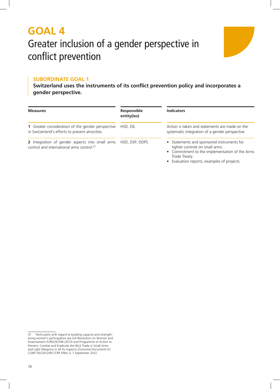### **GOAL 4** Greater inclusion of a gender perspective in conflict prevention



#### **Subordinate Goal 1**

**Switzerland uses the instruments of its conflict prevention policy and incorporates a gender perspective.**

| <b>Measures</b>                                                                                          | Responsible<br>entity(ies) | <b>Indicators</b>                                                                                                                                                                               |  |
|----------------------------------------------------------------------------------------------------------|----------------------------|-------------------------------------------------------------------------------------------------------------------------------------------------------------------------------------------------|--|
| 1 Greater consideration of the gender perspective<br>in Switzerland's efforts to prevent atrocities.     | HSD, DIL                   | Action is taken and statements are made on the<br>systematic integration of a gender perspective.                                                                                               |  |
| 2 Integration of gender aspects into small arms<br>control and international arms control. <sup>47</sup> | HSD, DSP, DDPS             | • Statements and sponsored instruments for<br>tighter controls on small arms.<br>• Commitment to the implementation of the Arms<br>Trade Treaty.<br>• Evaluation reports, examples of projects. |  |

<sup>47</sup> Particularly with regard to building capacity and strengthening women's participation see GA Resolution on Women and Disarmament A/RES/67/48 (2013) and Programme of Action to Prevent, Combat and Eradicate the Illicit Trade in Small Arms and Light Weapons in All Its Aspects (Outcome Document) A/ CONF.192/2012/RC/CRP.3/Rev.3, 7 September 2012.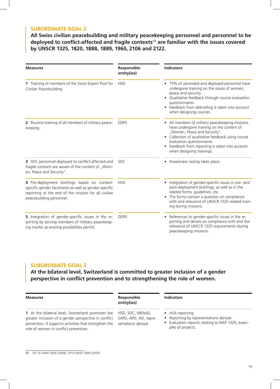**All Swiss civilian peacebuilding and military peacekeeping personnel and personnel to be deployed to conflict-affected and fragile contexts**<sup>48</sup> **are familiar with the issues covered by UNSCR 1325, 1820, 1888, 1889, 1960, 2106 and 2122.**

| <b>Measures</b>                                                                                                                                                                           | Responsible<br>entity(ies) | <b>Indicators</b>                                                                                                                                                                                                                                                                                  |
|-------------------------------------------------------------------------------------------------------------------------------------------------------------------------------------------|----------------------------|----------------------------------------------------------------------------------------------------------------------------------------------------------------------------------------------------------------------------------------------------------------------------------------------------|
| 1 Training of members of the Swiss Expert Pool for<br>Civilian Peacebuilding.                                                                                                             | <b>HSD</b>                 | • 75% of seconded and deployed personnel have<br>undergone training on the issues of women,<br>peace and security.<br>Qualitative feedback through course evaluation<br>questionnaires.<br>• Feedback from debriefing is taken into account<br>when designing courses.                             |
| 2 Routine training of all members of military peace-<br>keeping.                                                                                                                          | <b>DDPS</b>                | • All members of military peacekeeping missions<br>have undergone training on the content of<br>"Women, Peace and Security".<br>• Collection of qualitative feedback using course<br>evaluation questionnaires.<br>Feedback from reporting is taken into account<br>٠<br>when designing trainings. |
| 3 SDC personnel deployed to conflict-affected and<br>fragile contexts are aware of the content of "Wom-<br>en, Peace and Security".                                                       | <b>SDC</b>                 | • Awareness raising takes place.                                                                                                                                                                                                                                                                   |
| 4 Pre-deployment briefings based on context-<br>specific gender factsheets as well as gender-specific<br>reporting at the end of the mission for all civilian<br>peacebuilding personnel. | <b>HSD</b>                 | Integration of gender-specific issues in pre- and<br>post-deployment briefings, as well as in the<br>related forms, guidelines, etc.<br>• The forms contain a question on compliance<br>with and relevance of UNSCR 1325 related train-<br>ing during missions.                                    |
| 5 Integration of gender-specific issues in the re-<br>porting by serving members of military peacekeep-<br>ing insofar as existing possibilities permit.                                  | <b>DDPS</b>                | • References to gender-specific issues in the re-<br>porting and details on compliance with and the<br>relevance of UNSCR 1325 requirements during<br>peacekeeping missions.                                                                                                                       |

#### **Subordinate Goal 3**

**At the bilateral level, Switzerland is committed to greater inclusion of a gender perspective in conflict prevention and to strengthening the role of women.**

| <b>Measures</b>                                                                                                                                                                                                | Responsible<br>entity(ies)                                     | <b>Indicators</b>                                                                                                                |
|----------------------------------------------------------------------------------------------------------------------------------------------------------------------------------------------------------------|----------------------------------------------------------------|----------------------------------------------------------------------------------------------------------------------------------|
| 1 At the bilateral level, Switzerland promotes the<br>greater inclusion of a gender perspective in conflict<br>prevention. It supports activities that strengthen the<br>role of women in conflict prevention. | HSD, SDC, MENAD,<br>SAFD, APD, AD, repre-<br>sentations abroad | • HSA reporting<br>• Reporting by representations abroad.<br>Evaluation reports relating to NAP 1325; exam-<br>ples of projects. |

48 OP 10 UNSR 1820 (2008), OP 9 UNSR 1889 (2009).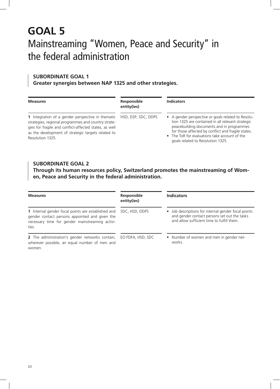### **GOAL 5** Mainstreaming "Women, Peace and Security" in the federal administration

#### **Subordinate Goal 1**

**Greater synergies between NAP 1325 and other strategies.**

| <b>Measures</b>                                                                                                                                                                                                                                     | Responsible<br>entity(ies) | <b>Indicators</b>                                                                                                                                                                                                                                                                                |
|-----------------------------------------------------------------------------------------------------------------------------------------------------------------------------------------------------------------------------------------------------|----------------------------|--------------------------------------------------------------------------------------------------------------------------------------------------------------------------------------------------------------------------------------------------------------------------------------------------|
| <b>1</b> Integration of a gender perspective in thematic<br>strategies, regional programmes and country strate-<br>gies for fragile and conflict-affected states, as well<br>as the development of strategic targets related to<br>Resolution 1325. | HSD, DSP, SDC, DDPS        | • A gender perspective or goals related to Resolu-<br>tion 1325 are contained in all relevant strategic<br>peacebuilding documents and in programmes<br>for those affected by conflict and fragile states.<br>• The ToR for evaluations take account of the<br>goals related to Resolution 1325. |

#### **Subordinate Goal 2**

**Through its human resources policy, Switzerland promotes the mainstreaming of Women, Peace and Security in the federal administration.**

| <b>Measures</b>                                                                                                                                                  | Responsible<br>entity(ies) | <b>Indicators</b>                                                                                                                                 |
|------------------------------------------------------------------------------------------------------------------------------------------------------------------|----------------------------|---------------------------------------------------------------------------------------------------------------------------------------------------|
| 1 Internal gender focal points are established and<br>gender contact persons appointed and given the<br>necessary time for gender mainstreaming activi-<br>ties. | SDC, HSD, DDPS             | • Job descriptions for internal gender focal points<br>and gender contact persons set out the tasks<br>and allow sufficient time to fulfill them. |
| 2 The administration's gender networks contain,<br>wherever possible, an equal number of men and<br>women.                                                       | EO FDFA, HSD, SDC          | • Number of women and men in gender net-<br>works.                                                                                                |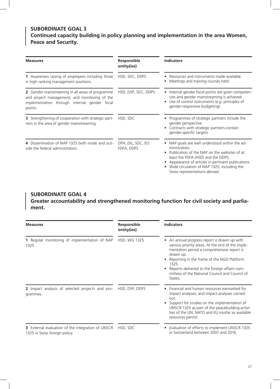#### **Subordinate Goal 3 Continued capacity building in policy planning and implementation in the area Women, Peace and Security.**

| <b>Measures</b>                                                                                                                                              | <b>Responsible</b><br>entity(ies) | <b>Indicators</b>                                                                                                                                                                                                                                                                        |
|--------------------------------------------------------------------------------------------------------------------------------------------------------------|-----------------------------------|------------------------------------------------------------------------------------------------------------------------------------------------------------------------------------------------------------------------------------------------------------------------------------------|
| 1 Awareness raising of employees including those<br>in high ranking management positions.                                                                    | HSD, SDC, DDPS                    | Resources and instruments made available.<br>Meetings and training courses held.                                                                                                                                                                                                         |
| 2 Gender mainstreaming in all areas of programme<br>and project management, and monitoring of the<br>implementation through internal gender focal<br>points. | HSD, DSP, SDC, DDPS               | • Internal gender focal points are given competen-<br>cies and gender mainstreaming is achieved.<br>Use of control instruments (e.g. principles of<br>gender-responsive budgeting).                                                                                                      |
| 3 Strengthening of cooperation with strategic part-<br>ners in the area of gender mainstreaming.                                                             | HSD, SDC                          | Programmes of strategic partners include the<br>gender perspective.<br>Contracts with strategic partners contain<br>gender-specific targets.                                                                                                                                             |
| 4 Dissemination of NAP 1325 both inside and out-<br>side the federal administration.                                                                         | DPA, DIL, SDC, EO<br>FDFA, DDPS   | NAP goals are well understood within the ad-<br>ministration.<br>Publication of the NAP on the websites of at<br>least the FDFA (HSD) and the DDPS.<br>Appearance of articles in pertinent publications.<br>Wide circulation of NAP 1325, including the<br>Swiss representations abroad. |

#### **Subordinate Goal 4 Greater accountability and strengthened monitoring function for civil society and parliament.**

| <b>Measures</b>                                                                    | Responsible<br>entity(ies) | <b>Indicators</b>                                                                                                                                                                                                                                                                                                              |
|------------------------------------------------------------------------------------|----------------------------|--------------------------------------------------------------------------------------------------------------------------------------------------------------------------------------------------------------------------------------------------------------------------------------------------------------------------------|
| 1 Regular monitoring of implementation of NAP<br>1325.                             | HSD, WG 1325               | An annual progress report is drawn up with<br>various priority areas. At the end of the imple-<br>mentation period a comprehensive report is<br>drawn up.<br>Reporting in the frame of the NGO Platform<br>1325.<br>Reports delivered to the foreign affairs com-<br>mittees of the National Council and Council of<br>States. |
| 2 Impact analysis of selected projects and pro-<br>grammes.                        | HSD, DSP, DDPS             | Financial and human resources earmarked for<br>impact analyses, and impact analyses carried<br>out.<br>Support for studies on the implementation of<br>UNSCR 1325 as part of the peacebuilding activi-<br>ties of the UN, NATO and EU insofar as available<br>resources permit.                                                |
| 3 External evaluation of the integration of UNSCR<br>1325 in Swiss foreign policy. | HSD, SDC                   | Evaluation of efforts to implement UNSCR 1325<br>in Switzerland between 2007 and 2016.                                                                                                                                                                                                                                         |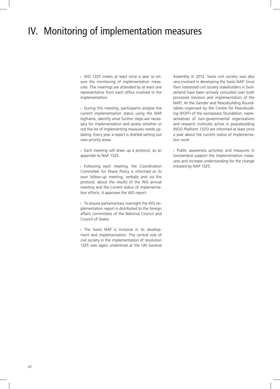### IV. Monitoring of implementation measures

› WG 1325 meets at least once a year to ensure the monitoring of implementation measures. The meetings are attended by at least one representative from each office involved in the implementation.

› During this meeting, participants analyse the current implementation status using the NAP logframe, identify what further steps are necessary for implementation and assess whether or not the list of implementing measures needs updating. Every year a report is drafted setting out new priority areas.

› Each meeting will draw up a protocol, as an appendix to NAP 1325.

› Following each meeting, the Coordination Committee for Peace Policy is informed at its own follow-up meeting, verbally and via the protocol, about the results of the WG annual meeting and the current status of implementation efforts. It approves the WG report.

› To ensure parliamentary oversight the WG implementation report is distributed to the foreign affairs committees of the National Council and Council of States.

› The Swiss NAP is inclusive in its development and implementation. The central role of civil society in the implementation of resolution 1325 was again underlined at the UN General Assembly in 2012. Swiss civil society was also very involved in developing the Swiss NAP. Since then interested civil society stakeholders in Switzerland have been actively consulted over both processes (revision and implementation of the NAP). At the Gender and Peacebuilding Roundtables organised by the Centre for Peacebuilding (KOFF) of the swisspeace foundation, representatives of non-governmental organisations and research institutes active in peacebuilding (NGO Platform 1325) are informed at least once a year about the current status of implementation work.

› Public awareness activities and measures in Switzerland support the implementation measures and increase understanding for the change initiated by NAP 1325.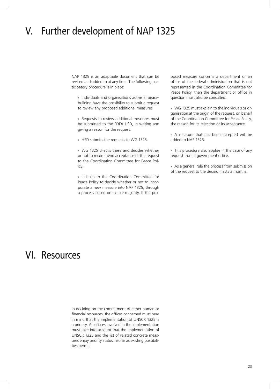### V. Further development of NAP 1325

NAP 1325 is an adaptable document that can be revised and added to at any time. The following participatory procedure is in place:

› Individuals and organisations active in peacebuilding have the possibility to submit a request to review any proposed additional measures.

› Requests to review additional measures must be submitted to the FDFA HSD, in writing and giving a reason for the request.

› HSD submits the requests to WG 1325.

› WG 1325 checks these and decides whether or not to recommend acceptance of the request to the Coordination Committee for Peace Policy.

› It is up to the Coordination Committee for Peace Policy to decide whether or not to incorporate a new measure into NAP 1325, through a process based on simple majority. If the proposed measure concerns a department or an office of the federal administration that is not represented in the Coordination Committee for Peace Policy, then the department or office in question must also be consulted.

› WG 1325 must explain to the individuals or organisation at the origin of the request, on behalf of the Coordination Committee for Peace Policy, the reason for its rejection or its acceptance.

› A measure that has been accepted will be added to NAP 1325.

› This procedure also applies in the case of any request from a government office.

› As a general rule the process from submission of the request to the decision lasts 3 months.

### VI. Resources

In deciding on the commitment of either human or financial resources, the offices concerned must bear in mind that the implementation of UNSCR 1325 is a priority. All offices involved in the implementation must take into account that the implementation of UNSCR 1325 and the list of related concrete measures enjoy priority status insofar as existing possibilities permit.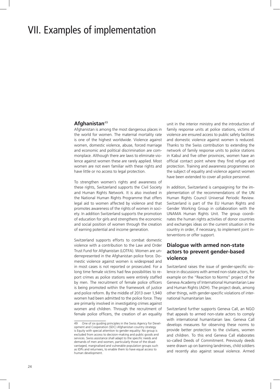### VII. Examples of implementation

#### Afghanistan<sup>49</sup>

Afghanistan is among the most dangerous places in the world for women. The maternal mortality rate is one of the highest worldwide. Violence against women, domestic violence, abuse, forced marriage and economic and political discrimination are commonplace. Although there are laws to eliminate violence against women these are rarely applied. Most women are not even familiar with these rights and have little or no access to legal protection.

To strengthen women's rights and awareness of these rights, Switzerland supports the Civil Society and Human Rights Network. It is also involved in the National Human Rights Programme that offers legal aid to women affected by violence and that promotes awareness of the rights of women in society. In addition Switzerland supports the promotion of education for girls and strengthens the economic and social position of women through the creation of earning potential and income generation.

Switzerland supports efforts to combat domestic violence with a contribution to the Law and Order Trust Fund for Afghanistan (LOTFA). Women are underrepresented in the Afghanistan police force. Domestic violence against women is widespread and in most cases is not reported or prosecuted. For a long time female victims had few possibilities to report crimes as police stations were entirely staffed by men. The recruitment of female police officers is being promoted within the framework of justice and police reform. By the middle of 2013 over 1,940 women had been admitted to the police force. They are primarily involved in investigating crimes against women and children. Through the recruitment of female police officers, the creation of an equality unit in the interior ministry and the introduction of family response units at police stations, victims of violence are ensured access to public safety facilities and domestic violence against women is reduced. Thanks to the Swiss contribution to extending the network of family response units to police stations in Kabul and five other provinces, women have an official contact point where they find refuge and protection. Training and awareness programmes on the subject of equality and violence against women have been extended to cover all police personnel.

In addition, Switzerland is campaigning for the implementation of the recommendations of the UN Human Rights Council Universal Periodic Review. Switzerland is part of the EU Human Rights and Gender Working Group in collaboration with the UNAMA Human Rights Unit. The group coordinates the human rights activities of donor countries and exchanges ideas on the current situation in the country in order, if necessary, to implement joint interventions or offer support.

#### **Dialogue with armed non-state actors to prevent gender-based violence**

Switzerland raises the issue of gender-specific violence in discussions with armed non-state actors, for example on the "Reaction to Norms" project of the Geneva Academy of International Humanitarian Law and Human Rights (ADH). The project deals, among other things, with gender-specific violations of international humanitarian law.

Switzerland further supports Geneva Call, an NGO that appeals to armed non-state actors to comply with international humanitarian law. Geneva Call develops measures for observing these norms to provide better protection to the civilians, women and children. To this end Geneva Call elaborates so-called Deeds of Commitment. Previously deeds were drawn up on banning landmines, child soldiers and recently also against sexual violence. Armed

<sup>49</sup> One of six guiding principles in the Swiss Agency for Development and Cooperation (SDC) Afghanistan country strategy is Equity with special attention to gender equality: No group is excluded from access to decision-making and public goods and services. Swiss assistance shall adapt to the specific needs and demands of men and women, particularly those of the disadvantaged, marginalised and vulnerable population groups such as IDPs and returnees, to enable them to have equal access to human development.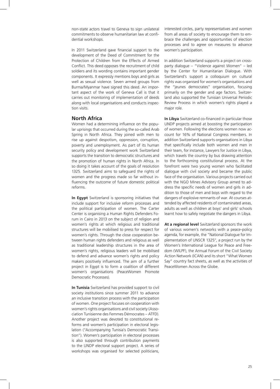non-state actors travel to Geneva to sign unilateral commitments to observe humanitarian law at confidential workshops.

In 2011 Switzerland gave financial support to the development of the Deed of Commitment for the Protection of Children from the Effects of Armed Conflict. This deed opposes the recruitment of child soldiers and its wording contains important gender components. It expressly mentions boys and girls as well as sexual violence. Seven armed groups from Burma/Myanmar have signed this deed. An important aspect of the work of Geneva Call is that it carries out monitoring of implementation of deeds along with local organisations and conducts inspection visits.

#### **North Africa**

Women had a determining influence on the popular uprisings that occurred during the so-called Arab Spring in North Africa. They joined with men to rise up against despotism, oppression, corruption, poverty and unemployment. As part of its human security policy and development work Switzerland supports the transition to democratic structures and the promotion of human rights in North Africa. In so doing it takes account of the goals of resolution 1325. Switzerland aims to safeguard the rights of women and the progress made so far without influencing the outcome of future domestic political reforms.

**In Egypt** Switzerland is sponsoring initiatives that include support for inclusive reform processes and the political participation of women. The Carter Center is organising a Human Rights Defenders Forum in Cairo in 2013 on the subject of religion and women's rights at which religious and traditional structures will be mobilised to press for respect for women's rights. Through the close cooperation between human rights defenders and religious as well as traditional leadership structures in the area of women's rights, religious leaders will be mobilised to defend and advance women's rights and policy makers positively influenced. The aim of a further project in Egypt is to form a coalition of different women's organisations (PeaceWomen Promote Democratic Processes).

**In Tunisia** Switzerland has provided support to civil society institutions since summer 2011 to advance an inclusive transition process with the participation of women. One project focuses on cooperation with women's rights organisations and civil society (Association Tunisienne des Femmes Démocrates – ATFD). Another project was devoted to constitutional reforms and women's participation in electoral legislation ("Accompanying Tunisia's Democratic Transition"). Women's participation in electoral processes is also supported through contribution payments to the UNDP electoral support project. A series of workshops was organised for selected politicians, interested circles, party representatives and women from all areas of society to encourage them to embrace the challenges and opportunities of election processes and to agree on measures to advance women's participation.

In addition Switzerland supports a project on crossparty dialogue – "Violence against Women" – led by the Center for Humanitarian Dialogue. With Switzerland's support a colloquium on cultural rights was organised for women's organisations and the "jeunes democrates" organisation, focusing primarily on the gender and age factors. Switzerland also supported the Tunisian Universal Periodic Review Process in which women's rights played a major role.

**In Libya** Switzerland co-financed in particular those UNDP projects aimed at boosting the participation of women. Following the elections women now account for 16% of National Congress members. In addition Switzerland supports organisations in Libya that specifically include both women and men in their team, for instance, Lawyers for Justice in Libya, which travels the country by bus drawing attention to the forthcoming constitutional process. At the forefront were two young women who facilitated dialogue with civil society and became the public face of the organisation. Various projects carried out with the NGO Mines Advisory Group aimed to address the specific needs of women and girls in addition to those of men and boys with regard to the dangers of explosive remnants of war. At courses attended by affected residents of contaminated areas, adults as well as children at boys' and girls' schools learnt how to safely negotiate the dangers in Libya.

**At a regional level** Switzerland sponsors the work of various women's networks with a peace-policy agenda, for example, the "National Dialogue for Implementation of UNSCR 1325", a project run by the Women's International League for Peace and Freedom (WILPF), the Annual Forum of the Civil Society Action Network (ICAN) and its short "What Women Say" country fact sheets, as well as the activities of PeaceWomen Across the Globe.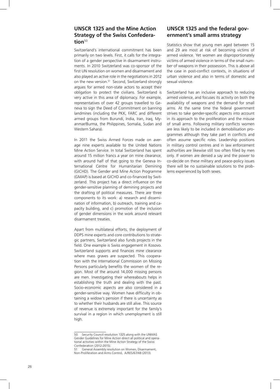#### **UNSCR 1325 and the Mine Action Strategy of the Swiss Confedera**tion<sup>50</sup>

Switzerland's international commitment has been primarily on two levels. First, it calls for the integration of a gender perspective in disarmament instruments. In 2010 Switzerland was co-sponsor of the first UN resolution on women and disarmament and also played an active role in the negotiations in 2012 on the new version.<sup>51</sup> Second, Switzerland strongly argues for armed non-state actors to accept their obligation to protect the civilians. Switzerland is very active in this area of diplomacy. For example, representatives of over 42 groups travelled to Geneva to sign the Deed of Commitment on banning landmines (including the PKK, FARC and different armed groups from Burundi, India, Iran, Iraq, Myanmar/Burma, the Philippines, Somalia, Sudan and Western Sahara).

In 2011 the Swiss Armed Forces made on average nine experts available to the United Nations Mine Action Service. In total Switzerland has spent around 15 million francs a year on mine clearance, with around half of that going to the Geneva International Centre for Humanitarian Demining (GICHD). The Gender and Mine Action Programme (GMAP) is based at GICHD and co-financed by Switzerland. This project has a direct influence on the gender-sensitive planning of demining projects and the drafting of political measures. There are three components to its work: a) research and dissemination of information, b) outreach, training and capacity building, and c) promotion of the inclusion of gender dimensions in the work around relevant disarmament treaties.

Apart from multilateral efforts, the deployment of DDPS mine experts and core contributions to strategic partners, Switzerland also funds projects in the field. One example is Swiss engagement in Kosovo. Switzerland supports and finances mine clearance where mass graves are suspected. This cooperation with the International Commission on Missing Persons particularly benefits the women of the region. Most of the around 14,000 missing persons are men. Investigating their whereabouts helps in establishing the truth and dealing with the past. Socio-economic aspects are also considered in a gender-sensitive way. Women have difficulty in obtaining a widow's pension if there is uncertainty as to whether their husbands are still alive. This source of revenue is extremely important for the family's survival in a region in which unemployment is still high.

#### **UNSCR 1325 and the federal government's small arms strategy**

Statistics show that young men aged between 15 and 29 are most at risk of becoming victims of armed violence. Yet women are disproportionately victims of armed violence in terms of the small number of weapons in their possession. This is above all the case in post-conflict contexts, in situations of urban violence and also in terms of domestic and sexual violence.

Switzerland has an inclusive approach to reducing armed violence, and focuses its activity on both the availability of weapons and the demand for small arms. At the same time the federal government strives to take gender-specific aspects into account in its approach to the proliferation and the misuse of small arms. Following military conflicts women are less likely to be included in demobilisation programmes although they take part in conflicts and often assume specific roles. Leadership positions in military control centres and in law enforcement authorities are likewise still too often filled by men only. If women are denied a say and the power to co-decide on these military and peace-policy issues there will be no sustainable solutions to the problems experienced by both sexes.

<sup>50</sup> Security Council resolution 1325 along with the UNMAS Gender Guidelines for Mine Action direct all political and operational activities within the Mine Action Strategy of the Swiss Confederation (2012-2015).

<sup>51</sup> General Assembly resolution on Women, Disarmament, Non-Proliferation and Arms Control, A/RES/67/48 (2013).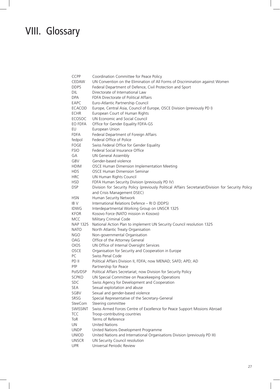## VIII. Glossary

| <b>CCPP</b>     | Coordination Committee for Peace Policy                                                             |
|-----------------|-----------------------------------------------------------------------------------------------------|
| CEDAW           | UN Convention on the Elimination of All Forms of Discrimination against Women                       |
| <b>DDPS</b>     | Federal Department of Defence, Civil Protection and Sport                                           |
| <b>DIL</b>      | Directorate of International Law                                                                    |
| DPA             | FDFA Directorate of Political Affairs                                                               |
| EAPC            | Euro-Atlantic Partnership Council                                                                   |
| <b>ECACOD</b>   | Europe, Central Asia, Council of Europe, OSCE Division (previously PD I)                            |
| <b>ECHR</b>     | European Court of Human Rights                                                                      |
| ECOSOC          | UN Economic and Social Council                                                                      |
| EO FDFA         | Office for Gender Equality FDFA-GS                                                                  |
| EU              | European Union                                                                                      |
| <b>FDFA</b>     | Federal Department of Foreign Affairs                                                               |
| fedpol          | Federal Office of Police                                                                            |
| FOGE            | Swiss Federal Office for Gender Equality                                                            |
| <b>FSIO</b>     | Federal Social Insurance Office                                                                     |
| GA              | <b>UN General Assembly</b>                                                                          |
| GBV             | Gender-based violence                                                                               |
| <b>HDIM</b>     | OSCE Human Dimension Implementation Meeting                                                         |
| <b>HDS</b>      | <b>OSCE Human Dimension Seminar</b>                                                                 |
| <b>HRC</b>      | UN Human Rights Council                                                                             |
| <b>HSD</b>      | FDFA Human Security Division (previously PD IV)                                                     |
| <b>DSP</b>      | Division for Security Policy (previously Political Affairs Secretariat/Division for Security Policy |
|                 | and Crisis Management DSEC)                                                                         |
| <b>HSN</b>      | Human Security Network                                                                              |
| IB V            | International Relations Defence - RI D (DDPS)                                                       |
| <b>IDWG</b>     | Interdepartmental Working Group on UNSCR 1325                                                       |
| <b>KFOR</b>     | Kosovo Force (NATO mission in Kosovo)                                                               |
| <b>MCC</b>      | Military Criminal Code                                                                              |
| <b>NAP 1325</b> | National Action Plan to implement UN Security Council resolution 1325                               |
| <b>NATO</b>     | North Atlantic Treaty Organisation                                                                  |
| <b>NGO</b>      | Non-governmental Organisation                                                                       |
| OAG             | Office of the Attorney General                                                                      |
| OIOS            | UN Office of Internal Oversight Services                                                            |
| OSCE            | Organisation for Security and Cooperation in Europe                                                 |
| PC.             | Swiss Penal Code                                                                                    |
| PD II           | Political Affairs Division II, FDFA; now MENAD; SAFD; APD; AD                                       |
| PfP             | Partnership for Peace                                                                               |
| PolS/DSP        | Political Affairs Secretariat; now Division for Security Policy                                     |
| <b>SCPKO</b>    | UN Special Committee on Peacekeeping Operations                                                     |
| <b>SDC</b>      | Swiss Agency for Development and Cooperation                                                        |
| <b>SEA</b>      | Sexual exploitation and abuse                                                                       |
| SGBV            | Sexual and gender-based violence                                                                    |
| SRSG            | Special Representative of the Secretary-General                                                     |
| <b>SteeCom</b>  | Steering committee                                                                                  |
| SWISSINT        | Swiss Armed Forces Centre of Excellence for Peace Support Missions Abroad                           |
| <b>TCC</b>      | Troop-contributing countries                                                                        |
| ToR             | Terms of Reference                                                                                  |
| UN              | <b>United Nations</b>                                                                               |
| <b>UNDP</b>     | United Nations Development Programme                                                                |
| <b>UNIOD</b>    | United Nations and International Organisations Division (previously PD III)                         |
| <b>UNSCR</b>    | UN Security Council resolution                                                                      |
| <b>UPR</b>      | Universal Periodic Review                                                                           |